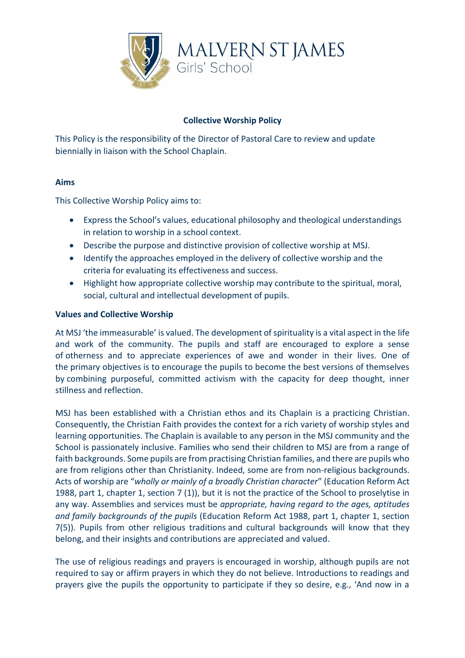

# **Collective Worship Policy**

This Policy is the responsibility of the Director of Pastoral Care to review and update biennially in liaison with the School Chaplain.

## **Aims**

This Collective Worship Policy aims to:

- Express the School's values, educational philosophy and theological understandings in relation to worship in a school context.
- Describe the purpose and distinctive provision of collective worship at MSJ.
- Identify the approaches employed in the delivery of collective worship and the criteria for evaluating its effectiveness and success.
- Highlight how appropriate collective worship may contribute to the spiritual, moral, social, cultural and intellectual development of pupils.

### **Values and Collective Worship**

At MSJ 'the immeasurable' is valued. The development of spirituality is a vital aspect in the life and work of the community. The pupils and staff are encouraged to explore a sense of otherness and to appreciate experiences of awe and wonder in their lives. One of the primary objectives is to encourage the pupils to become the best versions of themselves by combining purposeful, committed activism with the capacity for deep thought, inner stillness and reflection.

MSJ has been established with a Christian ethos and its Chaplain is a practicing Christian. Consequently, the Christian Faith provides the context for a rich variety of worship styles and learning opportunities. The Chaplain is available to any person in the MSJ community and the School is passionately inclusive. Families who send their children to MSJ are from a range of faith backgrounds. Some pupils are from practising Christian families, and there are pupils who are from religions other than Christianity. Indeed, some are from non-religious backgrounds. Acts of worship are "*wholly or mainly of a broadly Christian character*" (Education Reform Act 1988, part 1, chapter 1, section 7 (1)), but it is not the practice of the School to proselytise in any way. Assemblies and services must be *appropriate, having regard to the ages, aptitudes and family backgrounds of the pupils* (Education Reform Act 1988, part 1, chapter 1, section 7(5)). Pupils from other religious traditions and cultural backgrounds will know that they belong, and their insights and contributions are appreciated and valued.

The use of religious readings and prayers is encouraged in worship, although pupils are not required to say or affirm prayers in which they do not believe. Introductions to readings and prayers give the pupils the opportunity to participate if they so desire, e.g., 'And now in a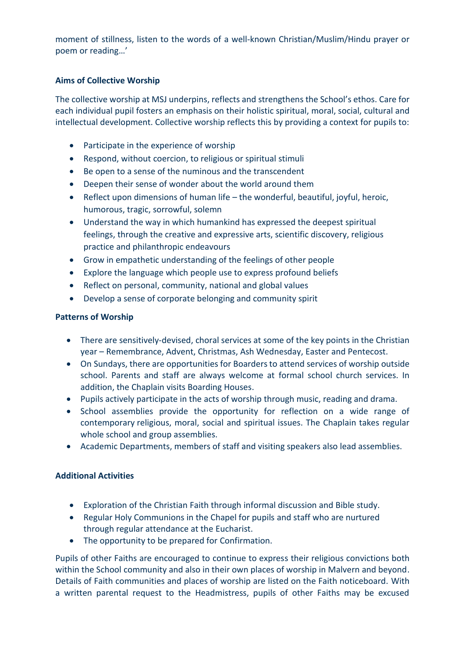moment of stillness, listen to the words of a well-known Christian/Muslim/Hindu prayer or poem or reading…'

# **Aims of Collective Worship**

The collective worship at MSJ underpins, reflects and strengthens the School's ethos. Care for each individual pupil fosters an emphasis on their holistic spiritual, moral, social, cultural and intellectual development. Collective worship reflects this by providing a context for pupils to:

- Participate in the experience of worship
- Respond, without coercion, to religious or spiritual stimuli
- Be open to a sense of the numinous and the transcendent
- Deepen their sense of wonder about the world around them
- Reflect upon dimensions of human life the wonderful, beautiful, joyful, heroic, humorous, tragic, sorrowful, solemn
- Understand the way in which humankind has expressed the deepest spiritual feelings, through the creative and expressive arts, scientific discovery, religious practice and philanthropic endeavours
- Grow in empathetic understanding of the feelings of other people
- Explore the language which people use to express profound beliefs
- Reflect on personal, community, national and global values
- Develop a sense of corporate belonging and community spirit

### **Patterns of Worship**

- There are sensitively-devised, choral services at some of the key points in the Christian year – Remembrance, Advent, Christmas, Ash Wednesday, Easter and Pentecost.
- On Sundays, there are opportunities for Boarders to attend services of worship outside school. Parents and staff are always welcome at formal school church services. In addition, the Chaplain visits Boarding Houses.
- Pupils actively participate in the acts of worship through music, reading and drama.
- School assemblies provide the opportunity for reflection on a wide range of contemporary religious, moral, social and spiritual issues. The Chaplain takes regular whole school and group assemblies.
- Academic Departments, members of staff and visiting speakers also lead assemblies.

## **Additional Activities**

- Exploration of the Christian Faith through informal discussion and Bible study.
- Regular Holy Communions in the Chapel for pupils and staff who are nurtured through regular attendance at the Eucharist.
- The opportunity to be prepared for Confirmation.

Pupils of other Faiths are encouraged to continue to express their religious convictions both within the School community and also in their own places of worship in Malvern and beyond. Details of Faith communities and places of worship are listed on the Faith noticeboard. With a written parental request to the Headmistress, pupils of other Faiths may be excused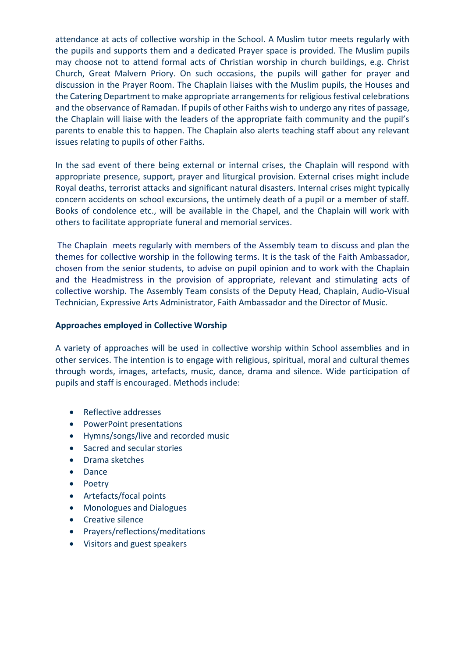attendance at acts of collective worship in the School. A Muslim tutor meets regularly with the pupils and supports them and a dedicated Prayer space is provided. The Muslim pupils may choose not to attend formal acts of Christian worship in church buildings, e.g. Christ Church, Great Malvern Priory. On such occasions, the pupils will gather for prayer and discussion in the Prayer Room. The Chaplain liaises with the Muslim pupils, the Houses and the Catering Department to make appropriate arrangements for religious festival celebrations and the observance of Ramadan. If pupils of other Faiths wish to undergo any rites of passage, the Chaplain will liaise with the leaders of the appropriate faith community and the pupil's parents to enable this to happen. The Chaplain also alerts teaching staff about any relevant issues relating to pupils of other Faiths.

In the sad event of there being external or internal crises, the Chaplain will respond with appropriate presence, support, prayer and liturgical provision. External crises might include Royal deaths, terrorist attacks and significant natural disasters. Internal crises might typically concern accidents on school excursions, the untimely death of a pupil or a member of staff. Books of condolence etc., will be available in the Chapel, and the Chaplain will work with others to facilitate appropriate funeral and memorial services.

The Chaplain meets regularly with members of the Assembly team to discuss and plan the themes for collective worship in the following terms. It is the task of the Faith Ambassador, chosen from the senior students, to advise on pupil opinion and to work with the Chaplain and the Headmistress in the provision of appropriate, relevant and stimulating acts of collective worship. The Assembly Team consists of the Deputy Head, Chaplain, Audio-Visual Technician, Expressive Arts Administrator, Faith Ambassador and the Director of Music.

#### **Approaches employed in Collective Worship**

A variety of approaches will be used in collective worship within School assemblies and in other services. The intention is to engage with religious, spiritual, moral and cultural themes through words, images, artefacts, music, dance, drama and silence. Wide participation of pupils and staff is encouraged. Methods include:

- Reflective addresses
- PowerPoint presentations
- Hymns/songs/live and recorded music
- Sacred and secular stories
- Drama sketches
- Dance
- Poetry
- Artefacts/focal points
- Monologues and Dialogues
- Creative silence
- Prayers/reflections/meditations
- Visitors and guest speakers